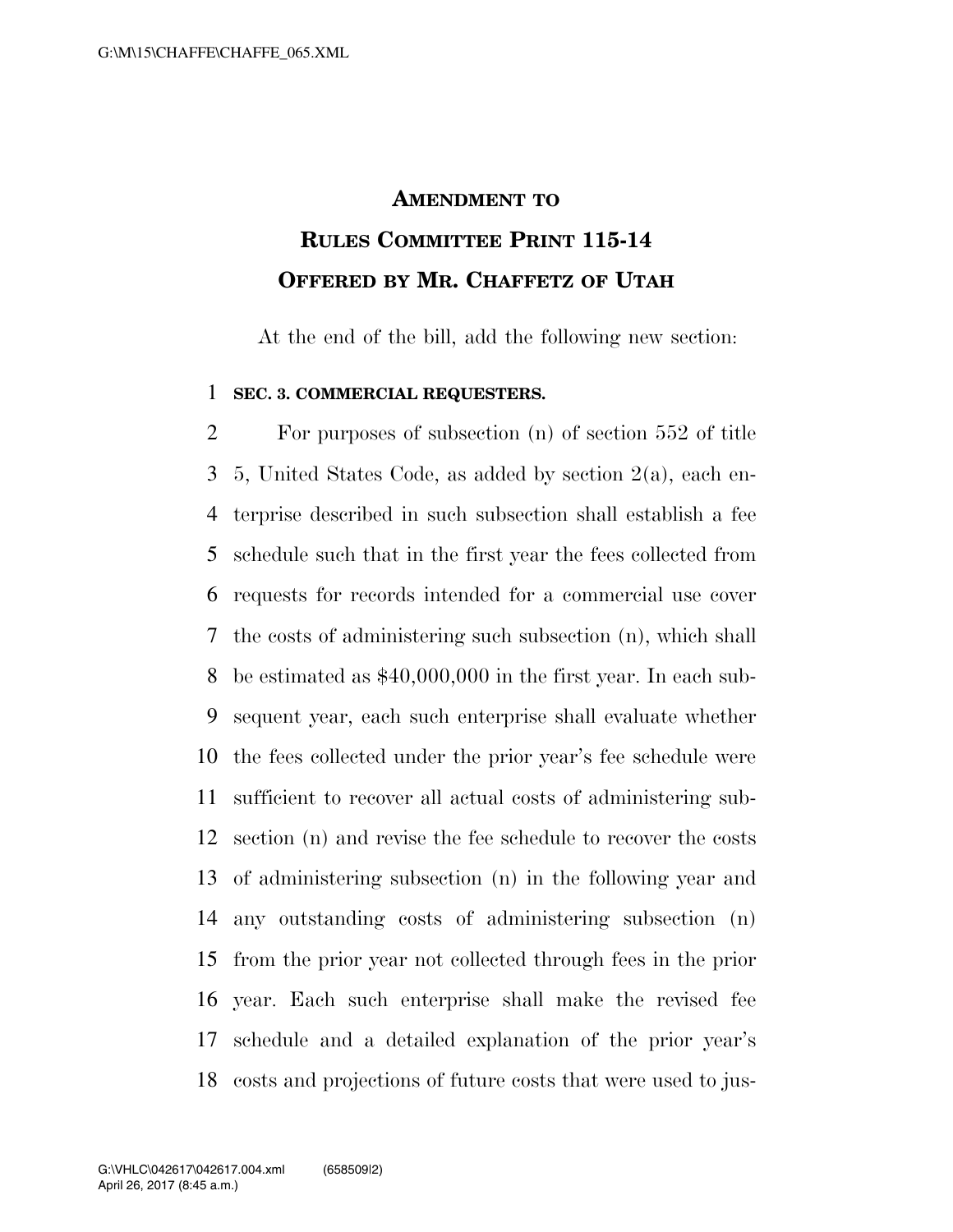## **AMENDMENT TO RULES COMMITTEE PRINT 115-14 OFFERED BY MR. CHAFFETZ OF UTAH**

At the end of the bill, add the following new section:

## **SEC. 3. COMMERCIAL REQUESTERS.**

 For purposes of subsection (n) of section 552 of title 5, United States Code, as added by section 2(a), each en- terprise described in such subsection shall establish a fee schedule such that in the first year the fees collected from requests for records intended for a commercial use cover the costs of administering such subsection (n), which shall be estimated as \$40,000,000 in the first year. In each sub- sequent year, each such enterprise shall evaluate whether the fees collected under the prior year's fee schedule were sufficient to recover all actual costs of administering sub- section (n) and revise the fee schedule to recover the costs of administering subsection (n) in the following year and any outstanding costs of administering subsection (n) from the prior year not collected through fees in the prior year. Each such enterprise shall make the revised fee schedule and a detailed explanation of the prior year's costs and projections of future costs that were used to jus-